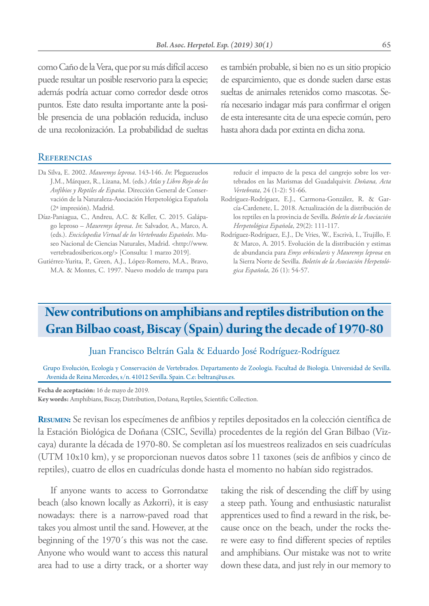como Caño de la Vera, que por su más difícil acceso puede resultar un posible reservorio para la especie; además podría actuar como corredor desde otros puntos. Este dato resulta importante ante la posible presencia de una población reducida, incluso de una recolonización. La probabilidad de sueltas

#### **REFERENCIAS**

- Da Silva, E. 2002. *Mauremys leprosa*. 143-146. *In*: Pleguezuelos J.M., Márquez, R., Lizana, M. (eds.) *Atlas y Libro Rojo de los Anfibios y Reptiles de España*. Dirección General de Conservación de la Naturaleza-Asociación Herpetológica Española (2ª impresión). Madrid.
- Díaz-Paniagua, C., Andreu, A.C. & Keller, C. 2015. Galápago leproso – *Mauremys leprosa*. *In*: Salvador, A., Marco, A. (eds.). *Enciclopedia Virtual de los Vertebrados Españoles*. Museo Nacional de Ciencias Naturales, Madrid. <http://www. vertebradosibericos.org/> [Consulta: 1 marzo 2019].
- Gutiérrez-Yurita, P., Green, A.J., López-Romero, M.A., Bravo, M.A. & Montes, C. 1997. Nuevo modelo de trampa para

es también probable, si bien no es un sitio propicio de esparcimiento, que es donde suelen darse estas sueltas de animales retenidos como mascotas. Sería necesario indagar más para confirmar el origen de esta interesante cita de una especie común, pero hasta ahora dada por extinta en dicha zona.

reducir el impacto de la pesca del cangrejo sobre los vertebrados en las Marismas del Guadalquivir. *Doñana, Acta Vertebrata*, 24 (1-2): 51-66.

- Rodríguez-Rodríguez, E.J., Carmona-González, R. & García-Cardenete, L. 2018. Actualización de la distribución de los reptiles en la provincia de Sevilla. *Boletín de la Asociación Herpetológica Española*, 29(2): 111-117.
- Rodríguez-Rodríguez, E.J., De Vries, W., Escrivà, I., Trujillo, F. & Marco, A. 2015. Evolución de la distribución y estimas de abundancia para *Emys orbicularis* y *Mauremys leprosa* en la Sierra Norte de Sevilla. *Boletín de la Asociación Herpetológica Española*, 26 (1): 54-57.

# **New contributions on amphibians and reptiles distribution on the Gran Bilbao coast, Biscay (Spain) during the decade of 1970-80**

### Juan Francisco Beltrán Gala & Eduardo José Rodríguez-Rodríguez

Grupo Evolución, Ecología y Conservación de Vertebrados. Departamento de Zoología. Facultad de Biología. Universidad de Sevilla. Avenida de Reina Mercedes, s/n. 41012 Sevilla. Spain. C.e: beltran@us.es.

**Fecha de aceptación:** 16 de mayo de 2019.

**Key words:** Amphibians, Biscay, Distribution, Doñana, Reptiles, Scientific Collection.

**Resumen:** Se revisan los especímenes de anfibios y reptiles depositados en la colección científica de la Estación Biológica de Doñana (CSIC, Sevilla) procedentes de la región del Gran Bilbao (Vizcaya) durante la década de 1970-80. Se completan así los muestreos realizados en seis cuadrículas (UTM 10x10 km), y se proporcionan nuevos datos sobre 11 taxones (seis de anfibios y cinco de reptiles), cuatro de ellos en cuadrículas donde hasta el momento no habían sido registrados.

If anyone wants to access to Gorrondatxe beach (also known locally as Azkorri), it is easy nowadays: there is a narrow-paved road that takes you almost until the sand. However, at the beginning of the 1970´s this was not the case. Anyone who would want to access this natural area had to use a dirty track, or a shorter way

taking the risk of descending the cliff by using a steep path. Young and enthusiastic naturalist apprentices used to find a reward in the risk, because once on the beach, under the rocks there were easy to find different species of reptiles and amphibians. Our mistake was not to write down these data, and just rely in our memory to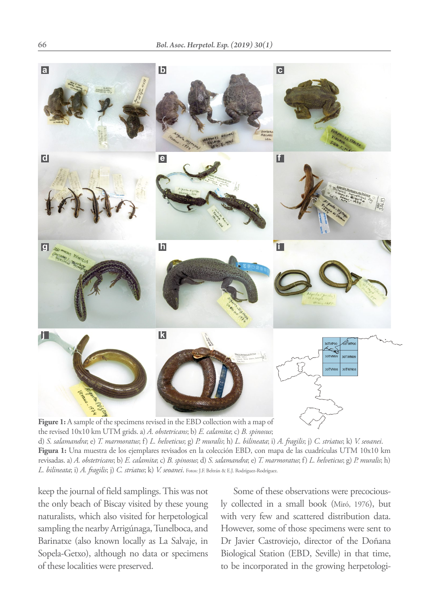

d) *S. salamandra*; e) *T. marmoratus*; f) *L. helveticus*; g) *P. muralis*; h) *L. bilineata*; i) *A. fragilis*; j) *C. striatus*; k) *V. seoanei*. **Figura 1:** Una muestra de los ejemplares revisados en la colección EBD, con mapa de las cuadrículas UTM 10x10 km revisadas. a) *A. obstetricans*; b) *E. calamita*; c) *B. spinosus*; d) *S. salamandra*; e) *T. marmoratus*; f) *L. helveticus*; g) *P. muralis*; h) *L. bilineata*; i) *A. fragilis*; j) *C. striatus*; k) *V. seoanei*. Fotos: J.F. Beltrán & E.J. Rodríguez-Rodríguez.

keep the journal of field samplings. This was not the only beach of Biscay visited by these young naturalists, which also visited for herpetological sampling the nearby Arrigúnaga, Tunelboca, and Barinatxe (also known locally as La Salvaje, in Sopela-Getxo), although no data or specimens of these localities were preserved.

Some of these observations were precociously collected in a small book (Miró, 1976), but with very few and scattered distribution data. However, some of those specimens were sent to Dr Javier Castroviejo, director of the Doñana Biological Station (EBD, Seville) in that time, to be incorporated in the growing herpetologi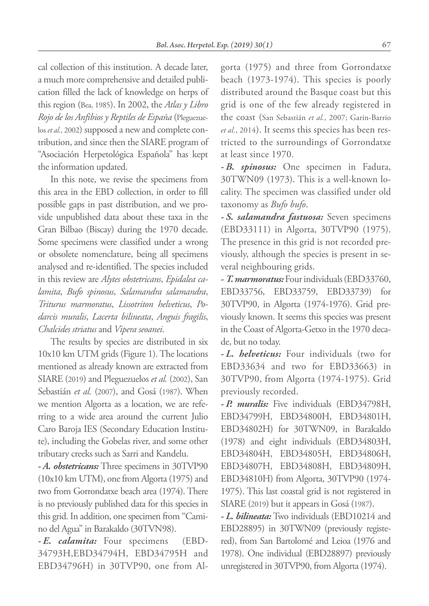cal collection of this institution. A decade later, a much more comprehensive and detailed publication filled the lack of knowledge on herps of this region (Bea, 1985). In 2002, the *Atlas y Libro Rojo de los Anfibios y Reptiles de España* (Pleguezuelos *et al.*, 2002) supposed a new and complete contribution, and since then the SIARE program of "Asociación Herpetológica Española" has kept the information updated.

In this note, we revise the specimens from this area in the EBD collection, in order to fill possible gaps in past distribution, and we provide unpublished data about these taxa in the Gran Bilbao (Biscay) during the 1970 decade. Some specimens were classified under a wrong or obsolete nomenclature, being all specimens analysed and re-identified. The species included in this review are *Alytes obstetricans*, *Epidalea calamita*, *Bufo spinosus*, *Salamandra salamandra*, *Triturus marmoratus*, *Lissotriton helveticus*, *Podarcis muralis*, *Lacerta bilineata*, *Anguis fragilis*, *Chalcides striatus* and *Vipera seoanei*.

The results by species are distributed in six 10x10 km UTM grids (Figure 1). The locations mentioned as already known are extracted from SIARE (2019) and Pleguezuelos *et al.* (2002), San Sebastián *et al.* (2007), and Gosá (1987). When we mention Algorta as a location, we are referring to a wide area around the current Julio Caro Baroja IES (Secondary Education Institute), including the Gobelas river, and some other tributary creeks such as Sarri and Kandelu.

*- A. obstetricans:* Three specimens in 30TVP90 (10x10 km UTM), one from Algorta (1975) and two from Gorrondatxe beach area (1974). There is no previously published data for this species in this grid. In addition, one specimen from "Camino del Agua" in Barakaldo (30TVN98).

*- E. calamita:* Four specimens (EBD-34793H,EBD34794H, EBD34795H and EBD34796H) in 30TVP90, one from Algorta (1975) and three from Gorrondatxe beach (1973-1974). This species is poorly distributed around the Basque coast but this grid is one of the few already registered in the coast (San Sebastián *et al.*, 2007; Garin-Barrio *et al.*, 2014). It seems this species has been restricted to the surroundings of Gorrondatxe at least since 1970.

*- B. spinosus:* One specimen in Fadura, 30TWN09 (1973). This is a well-known locality. The specimen was classified under old taxonomy as *Bufo bufo*.

*- S. salamandra fastuosa:* Seven specimens (EBD33111) in Algorta, 30TVP90 (1975). The presence in this grid is not recorded previously, although the species is present in several neighbouring grids.

*- T. marmoratus:* Four individuals (EBD33760, EBD33756, EBD33759, EBD33739) for 30TVP90, in Algorta (1974-1976). Grid previously known. It seems this species was present in the Coast of Algorta-Getxo in the 1970 decade, but no today.

*- L. helveticus:* Four individuals (two for EBD33634 and two for EBD33663) in 30TVP90, from Algorta (1974-1975). Grid previously recorded.

*- P. muralis:* Five individuals (EBD34798H, EBD34799H, EBD34800H, EBD34801H, EBD34802H) for 30TWN09, in Barakaldo (1978) and eight individuals (EBD34803H, EBD34804H, EBD34805H, EBD34806H, EBD34807H, EBD34808H, EBD34809H, EBD34810H) from Algorta, 30TVP90 (1974- 1975). This last coastal grid is not registered in SIARE (2019) but it appears in Gosá (1987).

*- L. bilineata:* Two individuals (EBD10214 and EBD28895) in 30TWN09 (previously registered), from San Bartolomé and Leioa (1976 and 1978). One individual (EBD28897) previously unregistered in 30TVP90, from Algorta (1974).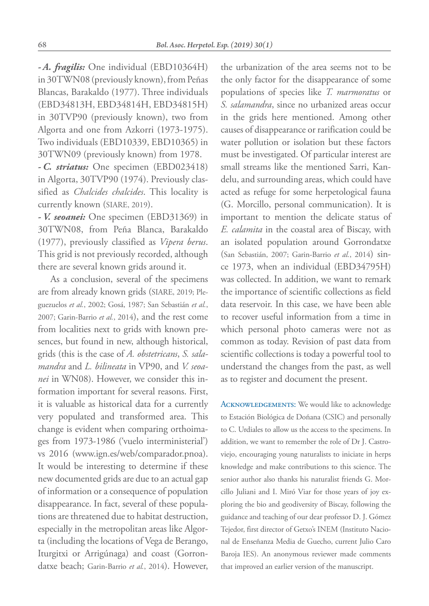*- A. fragilis:* One individual (EBD10364H) in 30TWN08 (previously known), from Peñas Blancas, Barakaldo (1977). Three individuals (EBD34813H, EBD34814H, EBD34815H) in 30TVP90 (previously known), two from Algorta and one from Azkorri (1973-1975). Two individuals (EBD10339, EBD10365) in 30TWN09 (previously known) from 1978.

*- C. striatus:* One specimen (EBD023418) in Algorta, 30TVP90 (1974). Previously classified as *Chalcides chalcides*. This locality is currently known (SIARE, 2019).

*- V. seoanei:* One specimen (EBD31369) in 30TWN08, from Peña Blanca, Barakaldo (1977), previously classified as *Vipera berus*. This grid is not previously recorded, although there are several known grids around it.

As a conclusion, several of the specimens are from already known grids (SIARE, 2019; Pleguezuelos *et al.*, 2002; Gosá, 1987; San Sebastián *et al.*, 2007; Garin-Barrio *et al.*, 2014), and the rest come from localities next to grids with known presences, but found in new, although historical, grids (this is the case of *A. obstetricans*, *S. salamandra* and *L. bilineata* in VP90, and *V. seoanei* in WN08). However, we consider this information important for several reasons. First, it is valuable as historical data for a currently very populated and transformed area. This change is evident when comparing orthoimages from 1973-1986 ('vuelo interministerial') vs 2016 (www.ign.es/web/comparador.pnoa). It would be interesting to determine if these new documented grids are due to an actual gap of information or a consequence of population disappearance. In fact, several of these populations are threatened due to habitat destruction, especially in the metropolitan areas like Algorta (including the locations of Vega de Berango, Iturgitxi or Arrigúnaga) and coast (Gorrondatxe beach; Garin-Barrio *et al.*, 2014). However,

the urbanization of the area seems not to be the only factor for the disappearance of some populations of species like *T. marmoratus* or *S. salamandra*, since no urbanized areas occur in the grids here mentioned. Among other causes of disappearance or rarification could be water pollution or isolation but these factors must be investigated. Of particular interest are small streams like the mentioned Sarri, Kandelu, and surrounding areas, which could have acted as refuge for some herpetological fauna (G. Morcillo, personal communication). It is important to mention the delicate status of *E. calamita* in the coastal area of Biscay, with an isolated population around Gorrondatxe (San Sebastián, 2007; Garin-Barrio *et al.*, 2014) since 1973, when an individual (EBD34795H) was collected. In addition, we want to remark the importance of scientific collections as field data reservoir. In this case, we have been able to recover useful information from a time in which personal photo cameras were not as common as today. Revision of past data from scientific collections is today a powerful tool to understand the changes from the past, as well as to register and document the present.

ACKNOWLEDGEMENTS: We would like to acknowledge to Estación Biológica de Doñana (CSIC) and personally to C. Urdiales to allow us the access to the specimens. In addition, we want to remember the role of Dr J. Castroviejo, encouraging young naturalists to iniciate in herps knowledge and make contributions to this science. The senior author also thanks his naturalist friends G. Morcillo Juliani and I. Miró Viar for those years of joy exploring the bio and geodiversity of Biscay, following the guidance and teaching of our dear professor D. J. Gómez Tejedor, first director of Getxo's INEM (Instituto Nacional de Enseñanza Media de Guecho, current Julio Caro Baroja IES). An anonymous reviewer made comments that improved an earlier version of the manuscript.